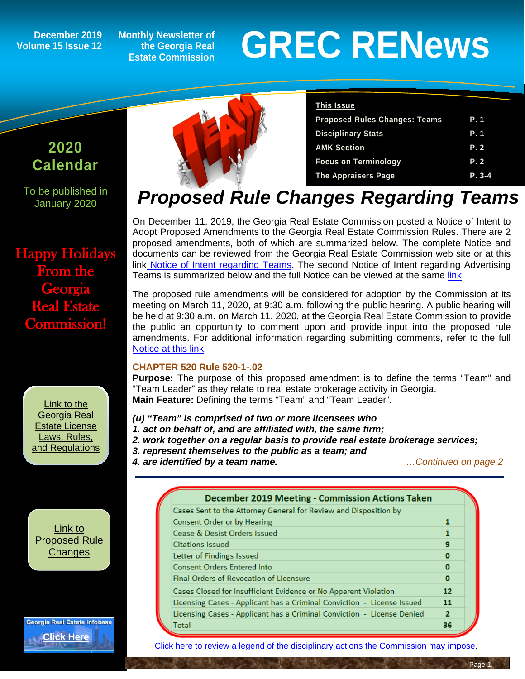**Volume 15 Issue 12**

**Monthly Newsletter of the Georgia Real Estate Commission**

# December 2019 Monthly Newsletter of<br>Ime 15 Issue 12 Listate Commission<br>Estate Commission

### **2020 Calendar**

To be published in January 2020

Happy Holidays From the **Georgia** Real Estate Commission!

> [Link to the](http://www.grec.state.ga.us/about/relaw.html)  [Georgia Real](http://www.grec.state.ga.us/about/relaw.html)  [Estate License](http://www.grec.state.ga.us/about/relaw.html)  [Laws, Rules,](http://www.grec.state.ga.us/about/relaw.html)  [and Regulations](http://www.grec.state.ga.us/about/relaw.html)



### **This Issue**

| <b>Proposed Rules Changes: Teams</b><br>P.1 |  |
|---------------------------------------------|--|
| <b>Disciplinary Stats</b><br>P. 1           |  |
| <b>AMK Section</b><br>P. 2                  |  |
| <b>Focus on Terminology</b><br>P. 2         |  |
| <b>The Appraisers Page</b><br>$P. 3-4$      |  |

### *Proposed Rule Changes Regarding Teams*

On December 11, 2019, the Georgia Real Estate Commission posted a Notice of Intent to Adopt Proposed Amendments to the Georgia Real Estate Commission Rules. There are 2 proposed amendments, both of which are summarized below. The complete Notice and documents can be reviewed from the Georgia Real Estate Commission web site or at this link [Notice of Intent regarding Teams.](http://grec.state.ga.us/PDFS/About/NOTICE%20OF%20INTENT%20-%20Teams%20%20520-1-.02%20Definitions%20and%20520-1-.09%20Advertising%20%20%20for%20GREC%20website%20%2012%2011%2019.pdf) The second Notice of Intent regarding Advertising Teams is summarized below and the full Notice can be viewed at the same [link.](http://grec.state.ga.us/PDFS/About/NOTICE%20OF%20INTENT%20-%20Teams%20%20520-1-.02%20Definitions%20and%20520-1-.09%20Advertising%20%20%20for%20GREC%20website%20%2012%2011%2019.pdf)

The proposed rule amendments will be considered for adoption by the Commission at its meeting on March 11, 2020, at 9:30 a.m. following the public hearing. A public hearing will be held at 9:30 a.m. on March 11, 2020, at the Georgia Real Estate Commission to provide the public an opportunity to comment upon and provide input into the proposed rule amendments. For additional information regarding submitting comments, refer to the full [Notice at this link.](http://grec.state.ga.us/PDFS/About/NOTICE%20OF%20INTENT%20-%20Teams%20%20520-1-.02%20Definitions%20and%20520-1-.09%20Advertising%20%20%20for%20GREC%20website%20%2012%2011%2019.pdf)

### **CHAPTER 520 Rule 520-1-.02**

**Purpose:** The purpose of this proposed amendment is to define the terms "Team" and "Team Leader" as they relate to real estate brokerage activity in Georgia. **Main Feature:** Defining the terms "Team" and "Team Leader".

*(u) "Team" is comprised of two or more licensees who* 

*1. act on behalf of, and are affiliated with, the same firm;* 

- *2. work together on a regular basis to provide real estate brokerage services;*
- *3. represent themselves to the public as a team; and*
- *4. are identified by a team name. …Continued on page 2*

[Link to](http://www.grec.state.ga.us/about/reproposed.html)  [Proposed Rule](http://www.grec.state.ga.us/about/reproposed.html)  **[Changes](http://www.grec.state.ga.us/about/reproposed.html)** 

**Georgia Real Estate Infobase [Click Here](https://www.grec.state.ga.us/infobase/infobase.html)**

**December 2019 Meeting - Commission Actions Taken** Cases Sent to the Attorney General for Review and Disposition by Consent Order or by Hearing 1 Cease & Desist Orders Issued 1 **Citations Issued** 9 Letter of Findings Issued Ō **Consent Orders Entered Into** Ō Final Orders of Revocation of Licensure Ō Cases Closed for Insufficient Evidence or No Apparent Violation 12 Licensing Cases - Applicant has a Criminal Conviction - License Issued 11 Licensing Cases - Applicant has a Criminal Conviction - License Denied  $\overline{2}$ **Total** 36

[Click here to review a legend of the disciplinary actions the Commission may impose.](https://www.jmre.com/grec/GRECDisciplinaryTools.pdf)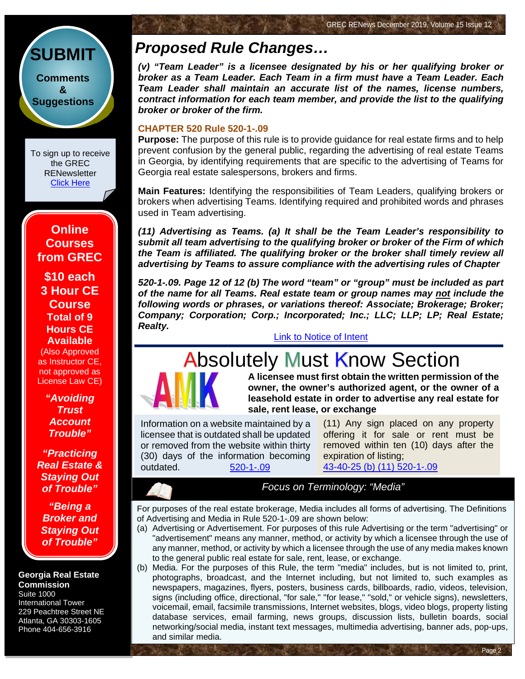

To sign up to receive the GREC **RENewsletter** [Click Here](https://www.grec.state.ga.us/about/subscribe.html)

**Online Courses from GREC**

**[\\$10 each](http://www.jmre.com/grec) [3 Hour CE](http://www.jmre.com/grec)  [Course](http://www.jmre.com/grec) [Total of 9](http://www.jmre.com/grec)  [Hours CE](http://www.jmre.com/grec)  [Available](http://www.jmre.com/grec)** [\(Also Approved](http://www.jmre.com/grec) 

[as Instructor CE,](http://www.jmre.com/grec)  [not approved as](http://www.jmre.com/grec)  [License Law CE\)](http://www.jmre.com/grec)

> *["Avoiding](http://www.jmre.com/grec)  [Trust](http://www.jmre.com/grec)  [Account](http://www.jmre.com/grec)  [Trouble"](http://www.jmre.com/grec)*

*["Practicing](http://www.jmre.com/grec)  [Real Estate &](http://www.jmre.com/grec)  [Staying Out](http://www.jmre.com/grec)  [of Trouble"](http://www.jmre.com/grec)*

*["Being a](http://www.jmre.com/grec)  [Broker and](http://www.jmre.com/grec)  [Staying Out](http://www.jmre.com/grec)  [of Trouble"](http://www.jmre.com/grec)*

#### **Georgia Real Estate Commission** Suite 1000

International Tower 229 Peachtree Street NE Atlanta, GA 30303-1605 Phone 404-656-3916

### *Proposed Rule Changes…*

*(v) "Team Leader" is a licensee designated by his or her qualifying broker or broker as a Team Leader. Each Team in a firm must have a Team Leader. Each Team Leader shall maintain an accurate list of the names, license numbers, contract information for each team member, and provide the list to the qualifying broker or broker of the firm.*

#### **CHAPTER 520 Rule 520-1-.09**

**Purpose:** The purpose of this rule is to provide guidance for real estate firms and to help prevent confusion by the general public, regarding the advertising of real estate Teams in Georgia, by identifying requirements that are specific to the advertising of Teams for Georgia real estate salespersons, brokers and firms.

**Main Features:** Identifying the responsibilities of Team Leaders, qualifying brokers or brokers when advertising Teams. Identifying required and prohibited words and phrases used in Team advertising.

*(11) Advertising as Teams. (a) It shall be the Team Leader's responsibility to submit all team advertising to the qualifying broker or broker of the Firm of which the Team is affiliated. The qualifying broker or the broker shall timely review all advertising by Teams to assure compliance with the advertising rules of Chapter*

*520-1-.09. Page 12 of 12 (b) The word "team" or "group" must be included as part of the name for all Teams. Real estate team or group names may not include the following words or phrases, or variations thereof: Associate; Brokerage; Broker; Company; Corporation; Corp.; Incorporated; Inc.; LLC; LLP; LP; Real Estate; Realty.*

[Link to Notice of Intent](http://grec.state.ga.us/PDFS/About/NOTICE%20OF%20INTENT%20-%20Teams%20%20520-1-.02%20Definitions%20and%20520-1-.09%20Advertising%20%20%20for%20GREC%20website%20%2012%2011%2019.pdf)

## **Absolutely Must Know Section**



**A licensee must first obtain the written permission of the owner, the owner's authorized agent, or the owner of a leasehold estate in order to advertise any real estate for sale, rent lease, or exchange**

Information on a website maintained by a licensee that is outdated shall be updated or removed from the website within thirty (30) days of the information becoming outdated. [520-1-.09](http://grec.state.ga.us/about/relaw.html)

(11) Any sign placed on any property [offering it for sale or rent must be](http://grec.state.ga.us/about/relaw.html)  removed within ten (10) days after the expiration of listing; [43-40-25 \(b\) \(11\)](http://grec.state.ga.us/about/relaw.html) 520-1-.09

Page 2

*Focus on Terminology: "Media"*

For purposes of the real estate brokerage, Media includes all forms of advertising. The Definitions of Advertising and Media in Rule 520-1-.09 are shown below:

(a) Advertising or Advertisement. For purposes of this rule Advertising or the term "advertising" or "advertisement" means any manner, method, or activity by which a licensee through the use of any manner, method, or activity by which a licensee through the use of any media makes known to the general public real estate for sale, rent, lease, or exchange.

(b) Media. For the purposes of this Rule, the term "media" includes, but is not limited to, print, photographs, broadcast, and the Internet including, but not limited to, such examples as newspapers, magazines, flyers, posters, business cards, billboards, radio, videos, television, signs (including office, directional, "for sale," "for lease," "sold," or vehicle signs), newsletters, voicemail, email, facsimile transmissions, Internet websites, blogs, video blogs, property listing database services, email farming, news groups, discussion lists, bulletin boards, social networking/social media, instant text messages, multimedia advertising, banner ads, pop-ups, and similar media.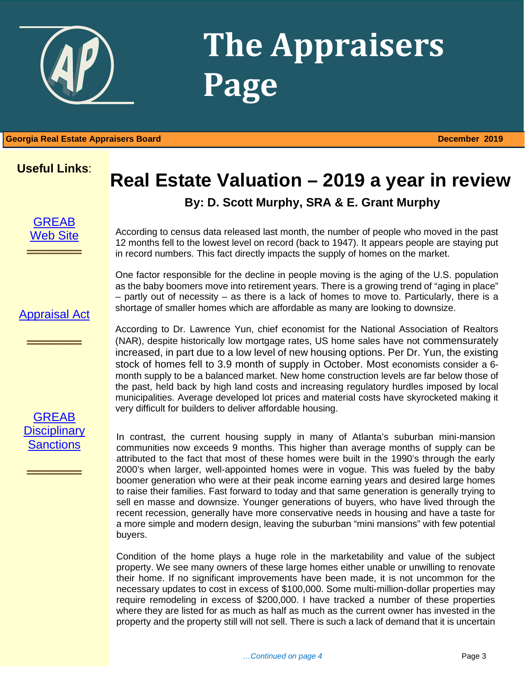

## **The Appraisers Page**

1 **Georgia Real Estate Appraisers Board December 2019**

### **Useful Links**:

## **Real Estate Valuation – 2019 a year in review**

### **By: D. Scott Murphy, SRA & E. Grant Murphy**



**═════**

According to census data released last month, the number of people who moved in the past 12 months fell to the lowest level on record (back to 1947). It appears people are staying put in record numbers. This fact directly impacts the supply of homes on the market.

One factor responsible for the decline in people moving is the aging of the U.S. population as the baby boomers move into retirement years. There is a growing trend of "aging in place" – partly out of necessity – as there is a lack of homes to move to. Particularly, there is a shortage of smaller homes which are affordable as many are looking to downsize.

### [Appraisal Act](http://www.grec.state.ga.us/about/appraisersact.html)

═════════════════<br>══════════════════

According to Dr. Lawrence Yun, chief economist for the National Association of Realtors (NAR), despite historically low mortgage rates, US home sales have not commensurately increased, in part due to a low level of new housing options. Per Dr. Yun, the existing stock of homes fell to 3.9 month of supply in October. Most economists consider a 6 month supply to be a balanced market. New home construction levels are far below those of the past, held back by high land costs and increasing regulatory hurdles imposed by local municipalities. Average developed lot prices and material costs have skyrocketed making it very difficult for builders to deliver affordable housing.

[GREAB](http://www.grec.state.ga.us/about/apprsanctions.html)  **Disciplinary [Sanctions](http://www.grec.state.ga.us/about/apprsanctions.html)** 

═════════════════<br>══════════════════

In contrast, the current housing supply in many of Atlanta's suburban mini-mansion communities now exceeds 9 months. This higher than average months of supply can be attributed to the fact that most of these homes were built in the 1990's through the early 2000's when larger, well-appointed homes were in vogue. This was fueled by the baby boomer generation who were at their peak income earning years and desired large homes to raise their families. Fast forward to today and that same generation is generally trying to sell en masse and downsize. Younger generations of buyers, who have lived through the recent recession, generally have more conservative needs in housing and have a taste for a more simple and modern design, leaving the suburban "mini mansions" with few potential buyers.

Condition of the home plays a huge role in the marketability and value of the subject property. We see many owners of these large homes either unable or unwilling to renovate their home. If no significant improvements have been made, it is not uncommon for the necessary updates to cost in excess of \$100,000. Some multi-million-dollar properties may require remodeling in excess of \$200,000. I have tracked a number of these properties where they are listed for as much as half as much as the current owner has invested in the property and the property still will not sell. There is such a lack of demand that it is uncertain